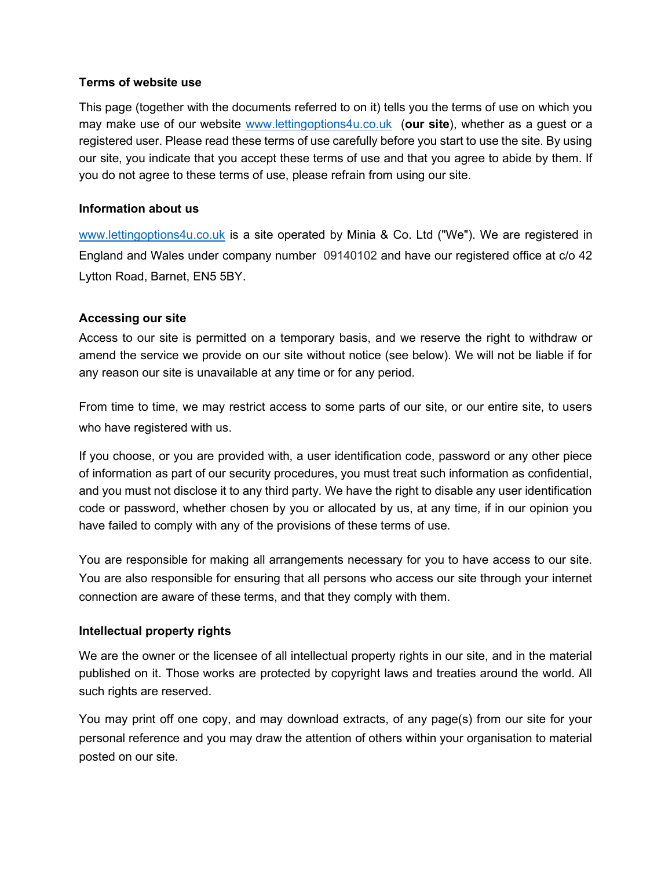### Terms of website use

This page (together with the documents referred to on it) tells you the terms of use on which you may make use of our website www.lettingoptions4u.co.uk (our site), whether as a quest or a registered user. Please read these terms of use carefully before you start to use the site. By using our site, you indicate that you accept these terms of use and that you agree to abide by them. If you do not agree to these terms of use, please refrain from using our site.

#### Information about us

www.lettingoptions4u.co.uk is a site operated by Minia & Co. Ltd ("We"). We are registered in England and Wales under company number 09140102 and have our registered office at c/o 42 Lytton Road, Barnet, EN5 5BY.

#### Accessing our site

Access to our site is permitted on a temporary basis, and we reserve the right to withdraw or amend the service we provide on our site without notice (see below). We will not be liable if for any reason our site is unavailable at any time or for any period.

From time to time, we may restrict access to some parts of our site, or our entire site, to users who have registered with us.

If you choose, or you are provided with, a user identification code, password or any other piece of information as part of our security procedures, you must treat such information as confidential, and you must not disclose it to any third party. We have the right to disable any user identification code or password, whether chosen by you or allocated by us, at any time, if in our opinion you have failed to comply with any of the provisions of these terms of use.

You are responsible for making all arrangements necessary for you to have access to our site. You are also responsible for ensuring that all persons who access our site through your internet connection are aware of these terms, and that they comply with them.

### Intellectual property rights

We are the owner or the licensee of all intellectual property rights in our site, and in the material published on it. Those works are protected by copyright laws and treaties around the world. All such rights are reserved.

You may print off one copy, and may download extracts, of any page(s) from our site for your personal reference and you may draw the attention of others within your organisation to material posted on our site.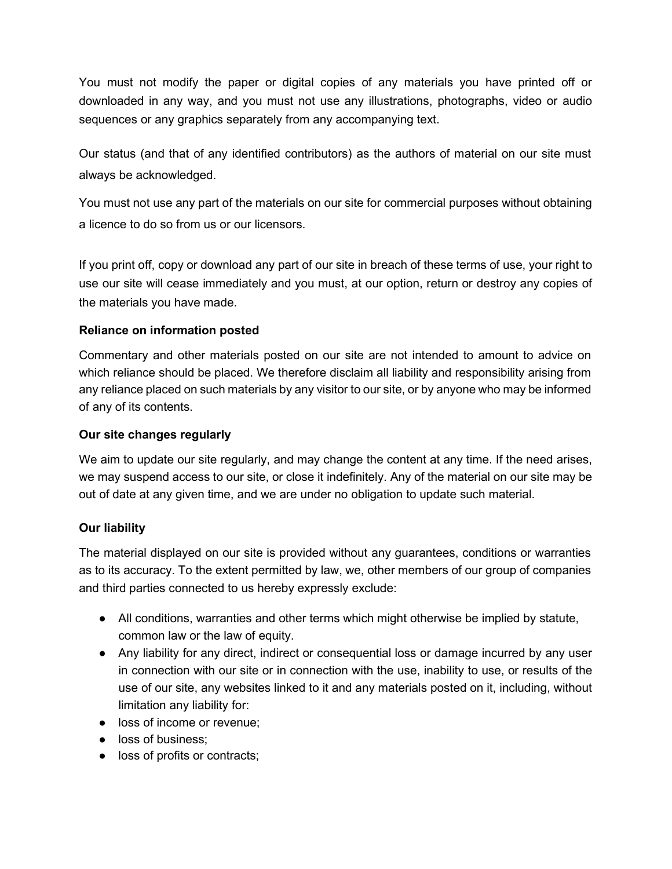You must not modify the paper or digital copies of any materials you have printed off or downloaded in any way, and you must not use any illustrations, photographs, video or audio sequences or any graphics separately from any accompanying text.

Our status (and that of any identified contributors) as the authors of material on our site must always be acknowledged.

You must not use any part of the materials on our site for commercial purposes without obtaining a licence to do so from us or our licensors.

If you print off, copy or download any part of our site in breach of these terms of use, your right to use our site will cease immediately and you must, at our option, return or destroy any copies of the materials you have made.

# Reliance on information posted

Commentary and other materials posted on our site are not intended to amount to advice on which reliance should be placed. We therefore disclaim all liability and responsibility arising from any reliance placed on such materials by any visitor to our site, or by anyone who may be informed of any of its contents.

### Our site changes regularly

We aim to update our site regularly, and may change the content at any time. If the need arises, we may suspend access to our site, or close it indefinitely. Any of the material on our site may be out of date at any given time, and we are under no obligation to update such material.

### Our liability

The material displayed on our site is provided without any guarantees, conditions or warranties as to its accuracy. To the extent permitted by law, we, other members of our group of companies and third parties connected to us hereby expressly exclude:

- All conditions, warranties and other terms which might otherwise be implied by statute, common law or the law of equity.
- Any liability for any direct, indirect or consequential loss or damage incurred by any user in connection with our site or in connection with the use, inability to use, or results of the use of our site, any websites linked to it and any materials posted on it, including, without limitation any liability for:
- loss of income or revenue:
- loss of business;
- loss of profits or contracts;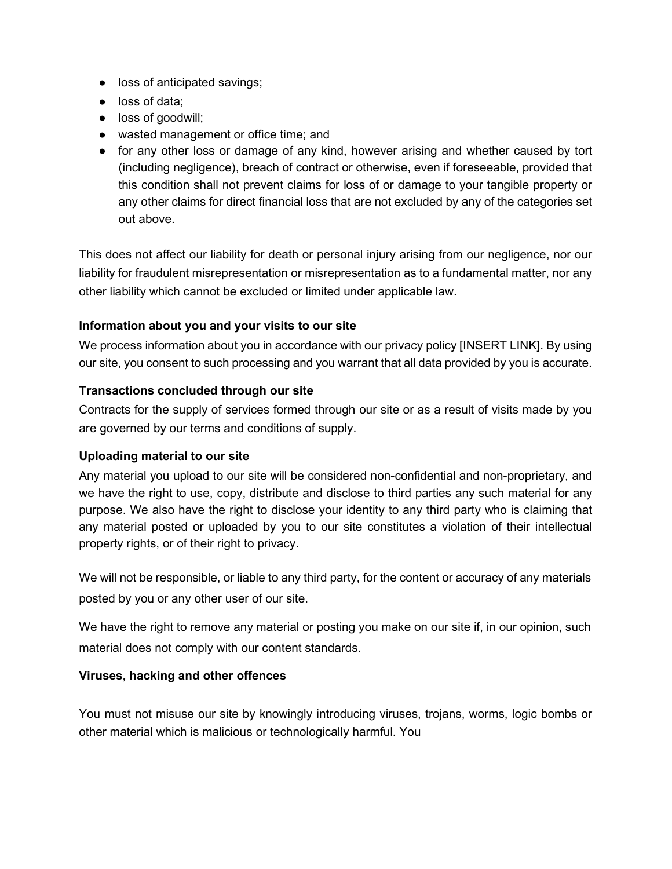- loss of anticipated savings;
- loss of data:
- loss of goodwill;
- wasted management or office time; and
- for any other loss or damage of any kind, however arising and whether caused by tort (including negligence), breach of contract or otherwise, even if foreseeable, provided that this condition shall not prevent claims for loss of or damage to your tangible property or any other claims for direct financial loss that are not excluded by any of the categories set out above.

This does not affect our liability for death or personal injury arising from our negligence, nor our liability for fraudulent misrepresentation or misrepresentation as to a fundamental matter, nor any other liability which cannot be excluded or limited under applicable law.

# Information about you and your visits to our site

We process information about you in accordance with our privacy policy [INSERT LINK]. By using our site, you consent to such processing and you warrant that all data provided by you is accurate.

# Transactions concluded through our site

Contracts for the supply of services formed through our site or as a result of visits made by you are governed by our terms and conditions of supply.

### Uploading material to our site

Any material you upload to our site will be considered non-confidential and non-proprietary, and we have the right to use, copy, distribute and disclose to third parties any such material for any purpose. We also have the right to disclose your identity to any third party who is claiming that any material posted or uploaded by you to our site constitutes a violation of their intellectual property rights, or of their right to privacy.

We will not be responsible, or liable to any third party, for the content or accuracy of any materials posted by you or any other user of our site.

We have the right to remove any material or posting you make on our site if, in our opinion, such material does not comply with our content standards.

### Viruses, hacking and other offences

You must not misuse our site by knowingly introducing viruses, trojans, worms, logic bombs or other material which is malicious or technologically harmful. You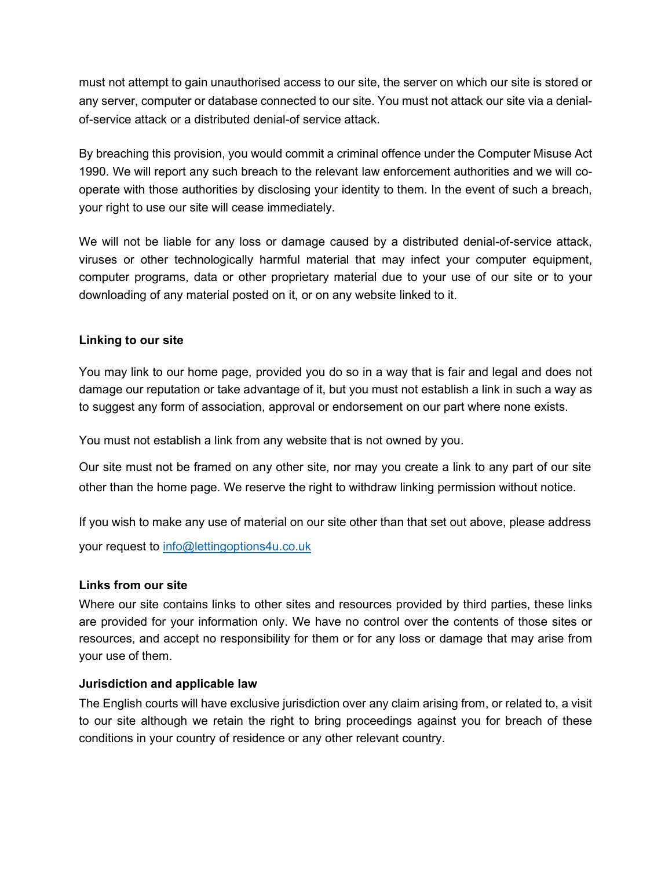must not attempt to gain unauthorised access to our site, the server on which our site is stored or any server, computer or database connected to our site. You must not attack our site via a denialof-service attack or a distributed denial-of service attack.

By breaching this provision, you would commit a criminal offence under the Computer Misuse Act 1990. We will report any such breach to the relevant law enforcement authorities and we will cooperate with those authorities by disclosing your identity to them. In the event of such a breach, your right to use our site will cease immediately.

We will not be liable for any loss or damage caused by a distributed denial-of-service attack, viruses or other technologically harmful material that may infect your computer equipment, computer programs, data or other proprietary material due to your use of our site or to your downloading of any material posted on it, or on any website linked to it.

# Linking to our site

You may link to our home page, provided you do so in a way that is fair and legal and does not damage our reputation or take advantage of it, but you must not establish a link in such a way as to suggest any form of association, approval or endorsement on our part where none exists.

You must not establish a link from any website that is not owned by you.

Our site must not be framed on any other site, nor may you create a link to any part of our site other than the home page. We reserve the right to withdraw linking permission without notice.

If you wish to make any use of material on our site other than that set out above, please address your request to info@lettingoptions4u.co.uk

### Links from our site

Where our site contains links to other sites and resources provided by third parties, these links are provided for your information only. We have no control over the contents of those sites or resources, and accept no responsibility for them or for any loss or damage that may arise from your use of them.

### Jurisdiction and applicable law

The English courts will have exclusive jurisdiction over any claim arising from, or related to, a visit to our site although we retain the right to bring proceedings against you for breach of these conditions in your country of residence or any other relevant country.